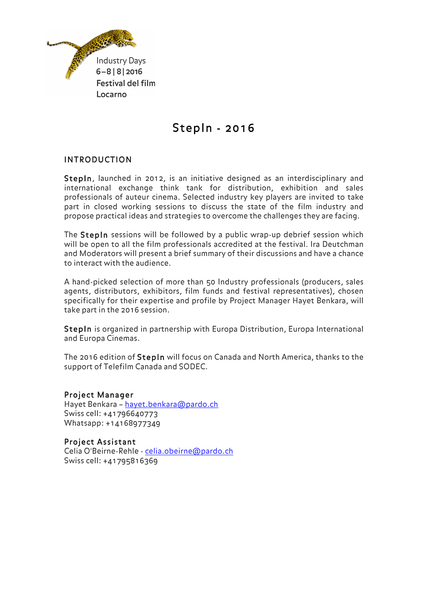

# StepIn - 2016

## INTRODUCTION

StepIn, launched in 2012, is an initiative designed as an interdisciplinary and international exchange think tank for distribution, exhibition and sales professionals of auteur cinema. Selected industry key players are invited to take part in closed working sessions to discuss the state of the film industry and propose practical ideas and strategies to overcome the challenges they are facing.

The StepIn sessions will be followed by a public wrap-up debrief session which will be open to all the film professionals accredited at the festival. Ira Deutchman and Moderators will present a brief summary of their discussions and have a chance to interact with the audience.

A hand-picked selection of more than 50 Industry professionals (producers, sales agents, distributors, exhibitors, film funds and festival representatives), chosen specifically for their expertise and profile by Project Manager Hayet Benkara, will take part in the 2016 session.

StepIn is organized in partnership with Europa Distribution, Europa International and Europa Cinemas.

The 2016 edition of StepIn will focus on Canada and North America, thanks to the support of Telefilm Canada and SODEC.

#### Project Manager

Hayet Benkara – hayet.benkara@pardo.ch Swiss cell: +41796640773 Whatsapp: +14168977349

#### Project Assistant

Celia O'Beirne-Rehle - celia.obeirne@pardo.ch Swiss cell: +41795816369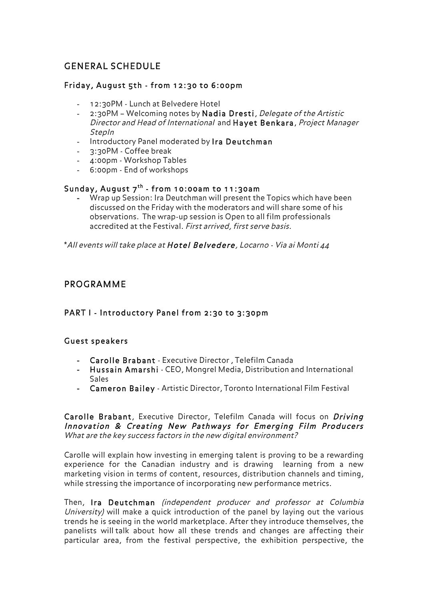## GENERAL SCHEDULE

### Friday, August 5th - from 12:30 to 6:00pm

- 12:30PM Lunch at Belvedere Hotel
- 2:30PM Welcoming notes by Nadia Dresti, Delegate of the Artistic Director and Head of International and Hayet Benkara, Project Manager StepIn
- Introductory Panel moderated by Ira Deutchman
- 3:30PM Coffee break
- 4:00pm Workshop Tables
- 6:00pm End of workshops

#### Sunday, August  $7^{th}$  - from 10:00am to 11:30am

**-** Wrap up Session: Ira Deutchman will present the Topics which have been discussed on the Friday with the moderators and will share some of his observations. The wrap-up session is Open to all film professionals accredited at the Festival. First arrived, first serve basis.

\*All events will take place at Hotel Belvedere, Locarno - Via ai Monti 44

## PROGRAMME

## PART I - Introductory Panel from 2:30 to 3:30pm

#### Guest speakers

- **-** Carolle Brabant Executive Director , Telefilm Canada
- **-** Hussain Amarshi CEO, Mongrel Media, Distribution and International Sales
- **-** Cameron Bailey Artistic Director, Toronto International Film Festival

Carolle Brabant, Executive Director, Telefilm Canada will focus on Driving Innovation & Creating New Pathways for Emerging Film Producers What are the key success factors in the new digital environment?

Carolle will explain how investing in emerging talent is proving to be a rewarding experience for the Canadian industry and is drawing learning from a new marketing vision in terms of content, resources, distribution channels and timing, while stressing the importance of incorporating new performance metrics.

Then, Ira Deutchman (independent producer and professor at Columbia University) will make a quick introduction of the panel by laying out the various trends he is seeing in the world marketplace. After they introduce themselves, the panelists will talk about how all these trends and changes are affecting their particular area, from the festival perspective, the exhibition perspective, the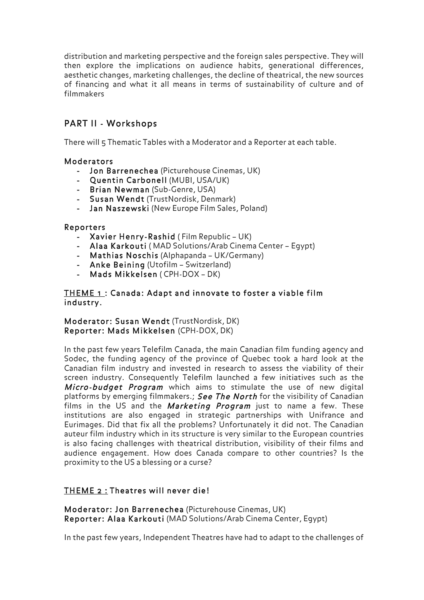distribution and marketing perspective and the foreign sales perspective. They will then explore the implications on audience habits, generational differences, aesthetic changes, marketing challenges, the decline of theatrical, the new sources of financing and what it all means in terms of sustainability of culture and of filmmakers

## PART II - Workshops

There will 5 Thematic Tables with a Moderator and a Reporter at each table.

#### Moderators

- **-** Jon Barrenechea (Picturehouse Cinemas, UK)
- **-** Quentin Carbonell (MUBI, USA/UK)
- **-** Brian Newman (Sub-Genre, USA)
- **-** Susan Wendt (TrustNordisk, Denmark)
- **-** Jan Naszewski (New Europe Film Sales, Poland)

#### Reporters

- **-** Xavier Henry-Rashid ( Film Republic UK)
- **-** Alaa Karkouti ( MAD Solutions/Arab Cinema Center Egypt)
- **-** Mathias Noschis (Alphapanda UK/Germany)
- **-** Anke Beining (Utofilm Switzerland)
- **-** Mads Mikkelsen ( CPH-DOX DK)

#### THEME 1 : Canada: Adapt and innovate to foster a viable film industry.

#### Moderator: Susan Wendt (TrustNordisk, DK) Reporter: Mads Mikkelsen (CPH-DOX, DK)

In the past few years Telefilm Canada, the main Canadian film funding agency and Sodec, the funding agency of the province of Quebec took a hard look at the Canadian film industry and invested in research to assess the viability of their screen industry. Consequently Telefilm launched a few initiatives such as the Micro-budget Program which aims to stimulate the use of new digital platforms by emerging filmmakers.; See The North for the visibility of Canadian films in the US and the *Marketing Program* just to name a few. These institutions are also engaged in strategic partnerships with Unifrance and Eurimages. Did that fix all the problems? Unfortunately it did not. The Canadian auteur film industry which in its structure is very similar to the European countries is also facing challenges with theatrical distribution, visibility of their films and audience engagement. How does Canada compare to other countries? Is the proximity to the US a blessing or a curse?

#### THEME 2 : Theatres will never die!

Moderator: Jon Barrenechea (Picturehouse Cinemas, UK) Reporter: Alaa Karkouti (MAD Solutions/Arab Cinema Center, Egypt)

In the past few years, Independent Theatres have had to adapt to the challenges of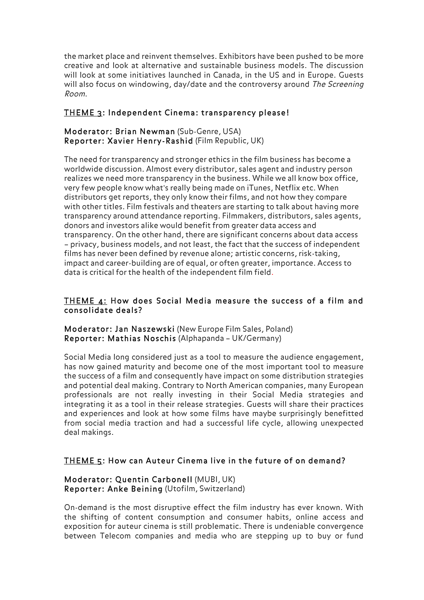the market place and reinvent themselves. Exhibitors have been pushed to be more creative and look at alternative and sustainable business models. The discussion will look at some initiatives launched in Canada, in the US and in Europe. Guests will also focus on windowing, day/date and the controversy around The Screening Room.

### THEME 3: Independent Cinema: transparency please!

#### Moderator: Brian Newman (Sub-Genre, USA) Reporter: Xavier Henry-Rashid (Film Republic, UK)

The need for transparency and stronger ethics in the film business has become a worldwide discussion. Almost every distributor, sales agent and industry person realizes we need more transparency in the business. While we all know box office, very few people know what's really being made on iTunes, Netflix etc. When distributors get reports, they only know their films, and not how they compare with other titles. Film festivals and theaters are starting to talk about having more transparency around attendance reporting. Filmmakers, distributors, sales agents, donors and investors alike would benefit from greater data access and transparency. On the other hand, there are significant concerns about data access – privacy, business models, and not least, the fact that the success of independent films has never been defined by revenue alone; artistic concerns, risk-taking, impact and career-building are of equal, or often greater, importance. Access to data is critical for the health of the independent film field.

#### THEME 4: How does Social Media measure the success of a film and consolidate deals?

Moderator: Jan Naszewski (New Europe Film Sales, Poland) Reporter: Mathias Noschis (Alphapanda – UK/Germany)

Social Media long considered just as a tool to measure the audience engagement, has now gained maturity and become one of the most important tool to measure the success of a film and consequently have impact on some distribution strategies and potential deal making. Contrary to North American companies, many European professionals are not really investing in their Social Media strategies and integrating it as a tool in their release strategies. Guests will share their practices and experiences and look at how some films have maybe surprisingly benefitted from social media traction and had a successful life cycle, allowing unexpected deal makings.

## THEME 5: How can Auteur Cinema live in the future of on demand?

#### Moderator: Quentin Carbonell (MUBI, UK) Reporter: Anke Beining (Utofilm, Switzerland)

On-demand is the most disruptive effect the film industry has ever known. With the shifting of content consumption and consumer habits, online access and exposition for auteur cinema is still problematic. There is undeniable convergence between Telecom companies and media who are stepping up to buy or fund